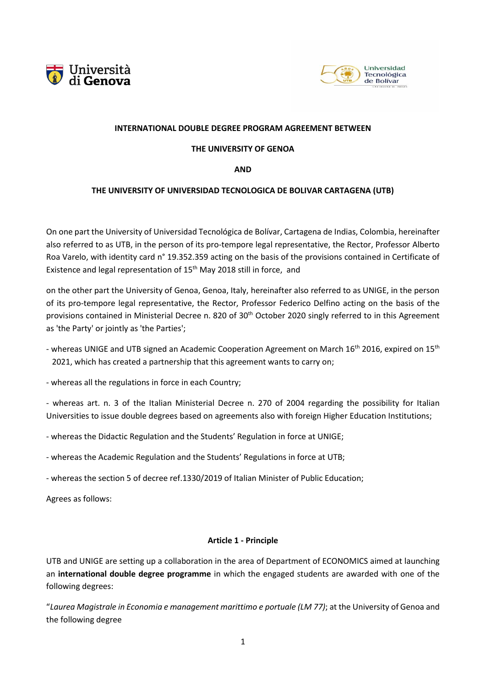



#### **INTERNATIONAL DOUBLE DEGREE PROGRAM AGREEMENT BETWEEN**

#### **THE UNIVERSITY OF GENOA**

**AND**

## **THE UNIVERSITY OF UNIVERSIDAD TECNOLOGICA DE BOLIVAR CARTAGENA (UTB)**

On one part the University of Universidad Tecnológica de Bolívar, Cartagena de Indias, Colombia, hereinafter also referred to as UTB, in the person of its pro-tempore legal representative, the Rector, Professor Alberto Roa Varelo, with identity card n° 19.352.359 acting on the basis of the provisions contained in Certificate of Existence and legal representation of 15<sup>th</sup> May 2018 still in force, and

on the other part the University of Genoa, Genoa, Italy, hereinafter also referred to as UNIGE, in the person of its pro-tempore legal representative, the Rector, Professor Federico Delfino acting on the basis of the provisions contained in Ministerial Decree n. 820 of 30<sup>th</sup> October 2020 singly referred to in this Agreement as 'the Party' or jointly as 'the Parties';

- whereas UNIGE and UTB signed an Academic Cooperation Agreement on March 16<sup>th</sup> 2016, expired on 15<sup>th</sup> 2021, which has created a partnership that this agreement wants to carry on;
- whereas all the regulations in force in each Country;

- whereas art. n. 3 of the Italian Ministerial Decree n. 270 of 2004 regarding the possibility for Italian Universities to issue double degrees based on agreements also with foreign Higher Education Institutions;

- whereas the Didactic Regulation and the Students' Regulation in force at UNIGE;
- whereas the Academic Regulation and the Students' Regulations in force at UTB;
- whereas the section 5 of decree ref.1330/2019 of Italian Minister of Public Education;

Agrees as follows:

#### **Article 1 - Principle**

UTB and UNIGE are setting up a collaboration in the area of Department of ECONOMICS aimed at launching an **international double degree programme** in which the engaged students are awarded with one of the following degrees:

"*Laurea Magistrale in Economia e management marittimo e portuale (LM 77)*; at the University of Genoa and the following degree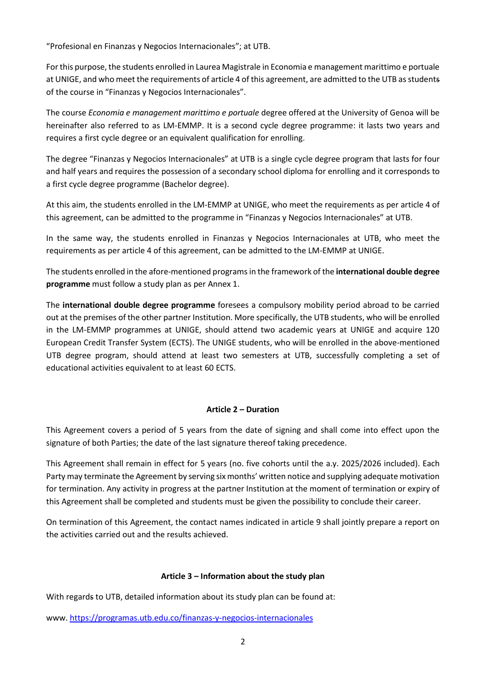"Profesional en Finanzas y Negocios Internacionales"; at UTB.

For this purpose, the students enrolled in Laurea Magistrale in Economia e management marittimo e portuale at UNIGE, and who meet the requirements of article 4 of this agreement, are admitted to the UTB as students of the course in "Finanzas y Negocios Internacionales".

The course *Economia e management marittimo e portuale* degree offered at the University of Genoa will be hereinafter also referred to as LM-EMMP. It is a second cycle degree programme: it lasts two years and requires a first cycle degree or an equivalent qualification for enrolling.

The degree "Finanzas y Negocios Internacionales" at UTB is a single cycle degree program that lasts for four and half years and requires the possession of a secondary school diploma for enrolling and it corresponds to a first cycle degree programme (Bachelor degree).

At this aim, the students enrolled in the LM-EMMP at UNIGE, who meet the requirements as per article 4 of this agreement, can be admitted to the programme in "Finanzas y Negocios Internacionales" at UTB.

In the same way, the students enrolled in Finanzas y Negocios Internacionales at UTB, who meet the requirements as per article 4 of this agreement, can be admitted to the LM-EMMP at UNIGE.

The students enrolled in the afore-mentioned programs in the framework of the **international double degree programme** must follow a study plan as per Annex 1.

The **international double degree programme** foresees a compulsory mobility period abroad to be carried out at the premises of the other partner Institution. More specifically, the UTB students, who will be enrolled in the LM-EMMP programmes at UNIGE, should attend two academic years at UNIGE and acquire 120 European Credit Transfer System (ECTS). The UNIGE students, who will be enrolled in the above-mentioned UTB degree program, should attend at least two semesters at UTB, successfully completing a set of educational activities equivalent to at least 60 ECTS.

## **Article 2 – Duration**

This Agreement covers a period of 5 years from the date of signing and shall come into effect upon the signature of both Parties; the date of the last signature thereof taking precedence.

This Agreement shall remain in effect for 5 years (no. five cohorts until the a.y. 2025/2026 included). Each Party may terminate the Agreement by serving six months' written notice and supplying adequate motivation for termination. Any activity in progress at the partner Institution at the moment of termination or expiry of this Agreement shall be completed and students must be given the possibility to conclude their career.

On termination of this Agreement, the contact names indicated in article 9 shall jointly prepare a report on the activities carried out and the results achieved.

#### **Article 3 – Information about the study plan**

With regards to UTB, detailed information about its study plan can be found at:

www[. https://programas.utb.edu.co/finanzas-y-negocios-internacionales](about:blank)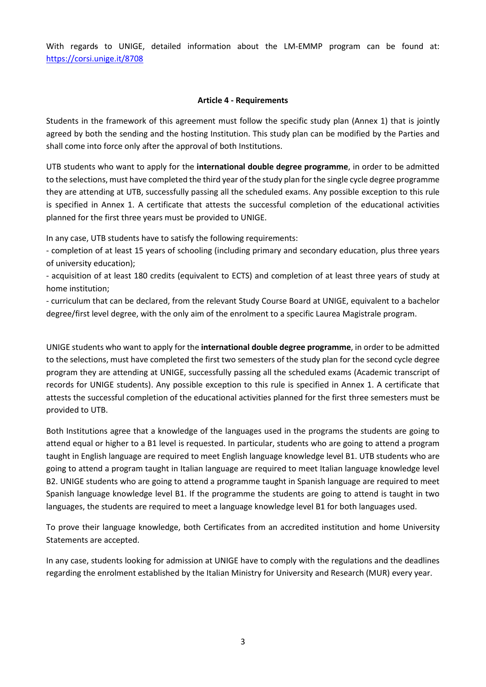With regards to UNIGE, detailed information about the LM-EMMP program can be found at: [https://corsi.unige.it/8708](about:blank)

#### **Article 4 - Requirements**

Students in the framework of this agreement must follow the specific study plan (Annex 1) that is jointly agreed by both the sending and the hosting Institution. This study plan can be modified by the Parties and shall come into force only after the approval of both Institutions.

UTB students who want to apply for the **international double degree programme**, in order to be admitted to the selections, must have completed the third year of the study plan for the single cycle degree programme they are attending at UTB, successfully passing all the scheduled exams. Any possible exception to this rule is specified in Annex 1. A certificate that attests the successful completion of the educational activities planned for the first three years must be provided to UNIGE.

In any case, UTB students have to satisfy the following requirements:

- completion of at least 15 years of schooling (including primary and secondary education, plus three years of university education);

- acquisition of at least 180 credits (equivalent to ECTS) and completion of at least three years of study at home institution;

- curriculum that can be declared, from the relevant Study Course Board at UNIGE, equivalent to a bachelor degree/first level degree, with the only aim of the enrolment to a specific Laurea Magistrale program.

UNIGE students who want to apply for the **international double degree programme**, in order to be admitted to the selections, must have completed the first two semesters of the study plan for the second cycle degree program they are attending at UNIGE, successfully passing all the scheduled exams (Academic transcript of records for UNIGE students). Any possible exception to this rule is specified in Annex 1. A certificate that attests the successful completion of the educational activities planned for the first three semesters must be provided to UTB.

Both Institutions agree that a knowledge of the languages used in the programs the students are going to attend equal or higher to a B1 level is requested. In particular, students who are going to attend a program taught in English language are required to meet English language knowledge level B1. UTB students who are going to attend a program taught in Italian language are required to meet Italian language knowledge level B2. UNIGE students who are going to attend a programme taught in Spanish language are required to meet Spanish language knowledge level B1. If the programme the students are going to attend is taught in two languages, the students are required to meet a language knowledge level B1 for both languages used.

To prove their language knowledge, both Certificates from an accredited institution and home University Statements are accepted.

In any case, students looking for admission at UNIGE have to comply with the regulations and the deadlines regarding the enrolment established by the Italian Ministry for University and Research (MUR) every year.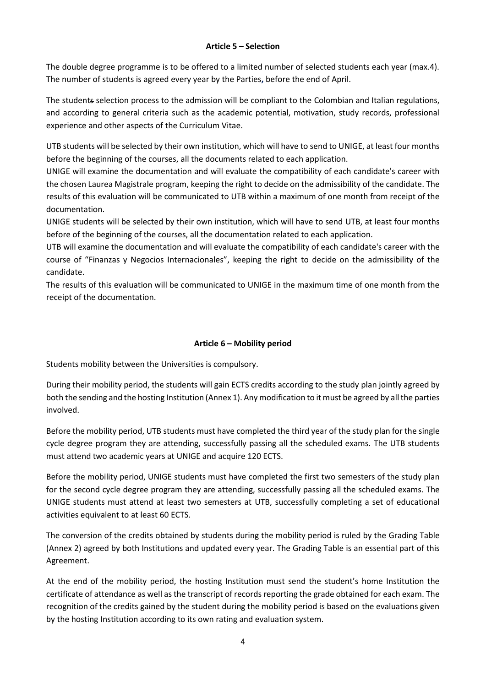### **Article 5 – Selection**

The double degree programme is to be offered to a limited number of selected students each year (max.4). The number of students is agreed every year by the Parties**,** before the end of April.

The students selection process to the admission will be compliant to the Colombian and Italian regulations, and according to general criteria such as the academic potential, motivation, study records, professional experience and other aspects of the Curriculum Vitae.

UTB students will be selected by their own institution, which will have to send to UNIGE, at least four months before the beginning of the courses, all the documents related to each application.

UNIGE will examine the documentation and will evaluate the compatibility of each candidate's career with the chosen Laurea Magistrale program, keeping the right to decide on the admissibility of the candidate. The results of this evaluation will be communicated to UTB within a maximum of one month from receipt of the documentation.

UNIGE students will be selected by their own institution, which will have to send UTB, at least four months before of the beginning of the courses, all the documentation related to each application.

UTB will examine the documentation and will evaluate the compatibility of each candidate's career with the course of "Finanzas y Negocios Internacionales", keeping the right to decide on the admissibility of the candidate.

The results of this evaluation will be communicated to UNIGE in the maximum time of one month from the receipt of the documentation.

## **Article 6 – Mobility period**

Students mobility between the Universities is compulsory.

During their mobility period, the students will gain ECTS credits according to the study plan jointly agreed by both the sending and the hosting Institution (Annex 1). Any modification to it must be agreed by all the parties involved.

Before the mobility period, UTB students must have completed the third year of the study plan for the single cycle degree program they are attending, successfully passing all the scheduled exams. The UTB students must attend two academic years at UNIGE and acquire 120 ECTS.

Before the mobility period, UNIGE students must have completed the first two semesters of the study plan for the second cycle degree program they are attending, successfully passing all the scheduled exams. The UNIGE students must attend at least two semesters at UTB, successfully completing a set of educational activities equivalent to at least 60 ECTS.

The conversion of the credits obtained by students during the mobility period is ruled by the Grading Table (Annex 2) agreed by both Institutions and updated every year. The Grading Table is an essential part of this Agreement.

At the end of the mobility period, the hosting Institution must send the student's home Institution the certificate of attendance as well as the transcript of records reporting the grade obtained for each exam. The recognition of the credits gained by the student during the mobility period is based on the evaluations given by the hosting Institution according to its own rating and evaluation system.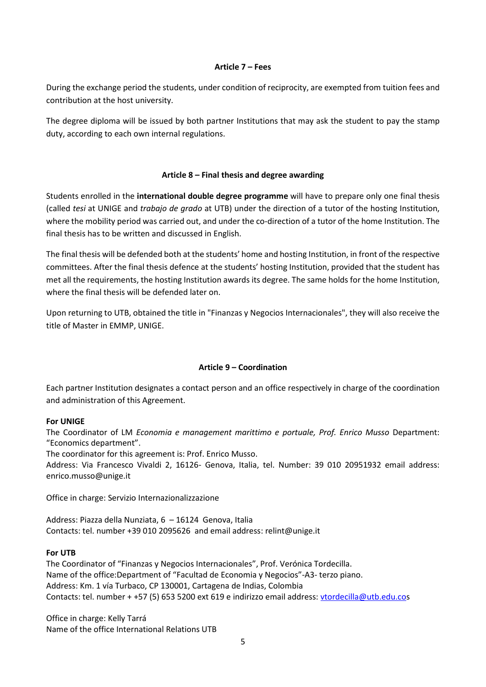#### **Article 7 – Fees**

During the exchange period the students, under condition of reciprocity, are exempted from tuition fees and contribution at the host university.

The degree diploma will be issued by both partner Institutions that may ask the student to pay the stamp duty, according to each own internal regulations.

#### **Article 8 – Final thesis and degree awarding**

Students enrolled in the **international double degree programme** will have to prepare only one final thesis (called *tesi* at UNIGE and *trabajo de grado* at UTB) under the direction of a tutor of the hosting Institution, where the mobility period was carried out, and under the co-direction of a tutor of the home Institution. The final thesis has to be written and discussed in English.

The final thesis will be defended both at the students' home and hosting Institution, in front of the respective committees. After the final thesis defence at the students' hosting Institution, provided that the student has met all the requirements, the hosting Institution awards its degree. The same holds for the home Institution, where the final thesis will be defended later on.

Upon returning to UTB, obtained the title in "Finanzas y Negocios Internacionales", they will also receive the title of Master in EMMP, UNIGE.

#### **Article 9 – Coordination**

Each partner Institution designates a contact person and an office respectively in charge of the coordination and administration of this Agreement.

#### **For UNIGE**

The Coordinator of LM *Economia e management marittimo e portuale, Prof. Enrico Musso* Department: "Economics department".

The coordinator for this agreement is: Prof. Enrico Musso.

Address: Via Francesco Vivaldi 2, 16126- Genova, Italia, tel. Number: 39 010 20951932 email address: enrico.musso@unige.it

Office in charge: Servizio Internazionalizzazione

Address: Piazza della Nunziata, 6 – 16124 Genova, Italia Contacts: tel. number +39 010 2095626 and email address: relint@unige.it

#### **For UTB**

The Coordinator of "Finanzas y Negocios Internacionales", Prof. Verónica Tordecilla. Name of the office:Department of "Facultad de Economia y Negocios"-A3- terzo piano. Address: Km. 1 vía Turbaco, CP 130001, Cartagena de Indias, Colombia Contacts: tel. number + +57 (5) 653 5200 ext 619 e indirizzo email address: [vtordecilla@utb.edu.cos](about:blank)

Office in charge: Kelly Tarrá Name of the office International Relations UTB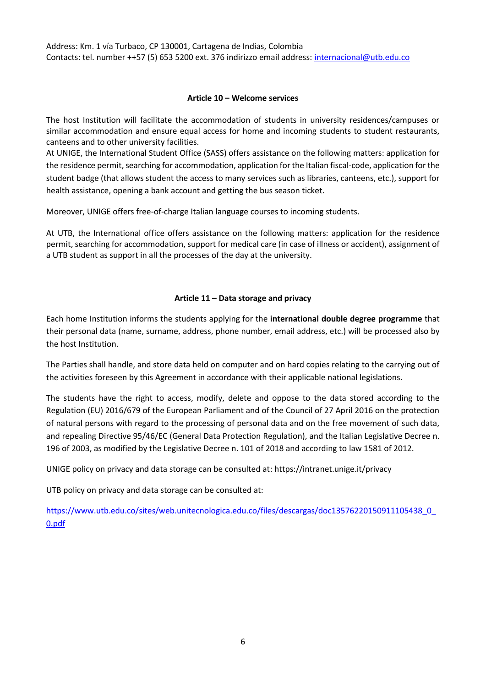Address: Km. 1 vía Turbaco, CP 130001, Cartagena de Indias, Colombia Contacts: tel. number ++57 (5) 653 5200 ext. 376 indirizzo email address: [internacional@utb.edu.co](about:blank)

#### **Article 10 – Welcome services**

The host Institution will facilitate the accommodation of students in university residences/campuses or similar accommodation and ensure equal access for home and incoming students to student restaurants, canteens and to other university facilities.

At UNIGE, the International Student Office (SASS) offers assistance on the following matters: application for the residence permit, searching fo[r accommodation,](about:blank) application for th[e Italian](about:blank) fiscal-code, application for the student badge (that allows student the access to many services such as libraries, canteens, etc.), support for health assistance, opening a bank account and getting the bus season ticket.

Moreover, UNIGE offers free-of-charge Italian language courses to incoming students.

At UTB, the International office offers assistance on the following matters: application for the residence permit, searching for accommodation, support for medical care (in case of illness or accident), assignment of a UTB student as support in all the processes of the day at the university.

## **Article 11 – Data storage and privacy**

Each home Institution informs the students applying for the **international double degree programme** that their personal data (name, surname, address, phone number, email address, etc.) will be processed also by the host Institution.

The Parties shall handle, and store data held on computer and on hard copies relating to the carrying out of the activities foreseen by this Agreement in accordance with their applicable national legislations.

The students have the right to access, modify, delete and oppose to the data stored according to the Regulation (EU) 2016/679 of the European Parliament and of the Council of 27 April 2016 on the protection of natural persons with regard to the processing of personal data and on the free movement of such data, and repealing Directive 95/46/EC (General Data Protection Regulation), and the Italian Legislative Decree n. 196 of 2003, as modified by the Legislative Decree n. 101 of 2018 and according to law 1581 of 2012.

UNIGE policy on privacy and data storage can be consulted at: https://intranet.unige.it/privacy

UTB policy on privacy and data storage can be consulted at:

[https://www.utb.edu.co/sites/web.unitecnologica.edu.co/files/descargas/doc13576220150911105438\\_0\\_](about:blank) [0.pdf](about:blank)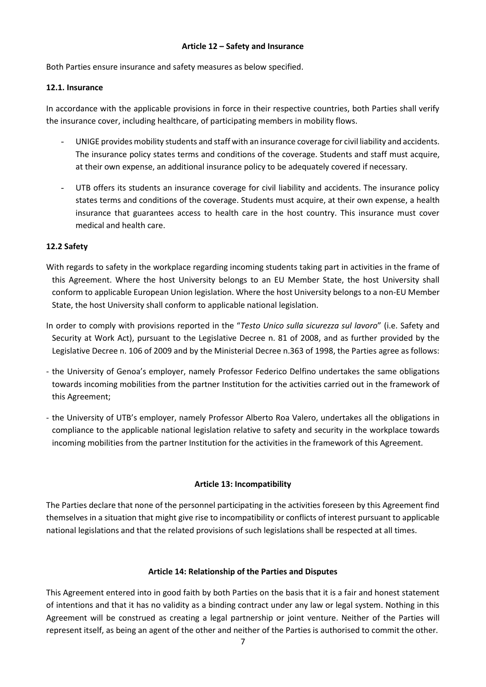#### **Article 12 – Safety and Insurance**

Both Parties ensure insurance and safety measures as below specified.

### **12.1. Insurance**

In accordance with the applicable provisions in force in their respective countries, both Parties shall verify the insurance cover, including healthcare, of participating members in mobility flows.

- UNIGE provides mobility students and staff with an insurance coverage for civil liability and accidents. The insurance policy states terms and conditions of the coverage. Students and staff must acquire, at their own expense, an additional insurance policy to be adequately covered if necessary.
- UTB offers its students an insurance coverage for civil liability and accidents. The insurance policy states terms and conditions of the coverage. Students must acquire, at their own expense, a health insurance that guarantees access to health care in the host country. This insurance must cover medical and health care.

## **12.2 Safety**

- With regards to safety in the workplace regarding incoming students taking part in activities in the frame of this Agreement. Where the host University belongs to an EU Member State, the host University shall conform to applicable European Union legislation. Where the host University belongs to a non-EU Member State, the host University shall conform to applicable national legislation.
- In order to comply with provisions reported in the "*Testo Unico sulla sicurezza sul lavoro*" (i.e. Safety and Security at Work Act), pursuant to the Legislative Decree n. 81 of 2008, and as further provided by the Legislative Decree n. 106 of 2009 and by the Ministerial Decree n.363 of 1998, the Parties agree as follows:
- the University of Genoa's employer, namely Professor Federico Delfino undertakes the same obligations towards incoming mobilities from the partner Institution for the activities carried out in the framework of this Agreement;
- the University of UTB's employer, namely Professor Alberto Roa Valero, undertakes all the obligations in compliance to the applicable national legislation relative to safety and security in the workplace towards incoming mobilities from the partner Institution for the activities in the framework of this Agreement.

## **Article 13: Incompatibility**

The Parties declare that none of the personnel participating in the activities foreseen by this Agreement find themselves in a situation that might give rise to incompatibility or conflicts of interest pursuant to applicable national legislations and that the related provisions of such legislations shall be respected at all times.

## **Article 14: Relationship of the Parties and Disputes**

This Agreement entered into in good faith by both Parties on the basis that it is a fair and honest statement of intentions and that it has no validity as a binding contract under any law or legal system. Nothing in this Agreement will be construed as creating a legal partnership or joint venture. Neither of the Parties will represent itself, as being an agent of the other and neither of the Parties is authorised to commit the other.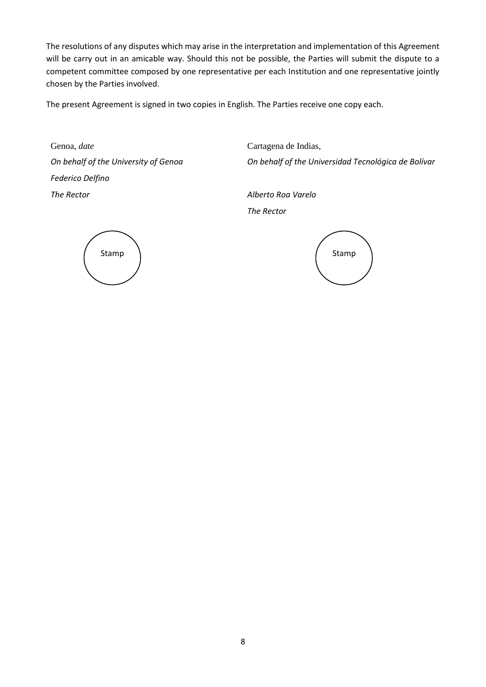The resolutions of any disputes which may arise in the interpretation and implementation of this Agreement will be carry out in an amicable way. Should this not be possible, the Parties will submit the dispute to a competent committee composed by one representative per each Institution and one representative jointly chosen by the Parties involved.

The present Agreement is signed in two copies in English. The Parties receive one copy each.

Genoa, *date* Cartagena de Indias, *On behalf of the University of Genoa Federico Delfino The Rector Alberto Roa Varelo*

*On behalf of the Universidad Tecnológica de Bolívar*

*The Rector*

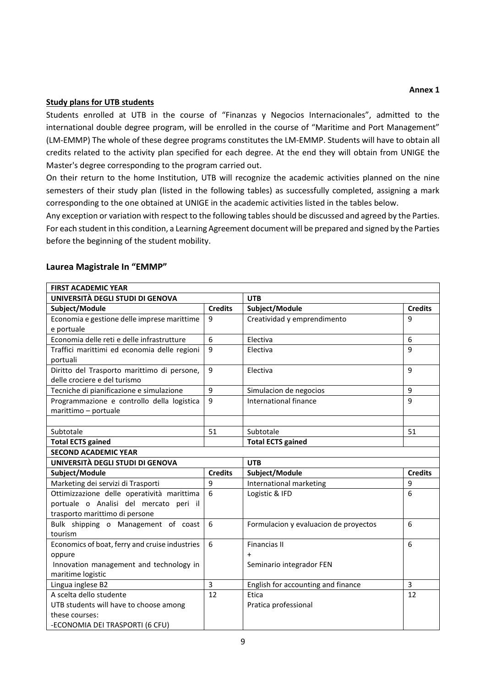#### **Annex 1**

### **Study plans for UTB students**

Students enrolled at UTB in the course of "Finanzas y Negocios Internacionales", admitted to the international double degree program, will be enrolled in the course of "Maritime and Port Management" (LM-EMMP) The whole of these degree programs constitutes the LM-EMMP. Students will have to obtain all credits related to the activity plan specified for each degree. At the end they will obtain from UNIGE the Master's degree corresponding to the program carried out.

On their return to the home Institution, UTB will recognize the academic activities planned on the nine semesters of their study plan (listed in the following tables) as successfully completed, assigning a mark corresponding to the one obtained at UNIGE in the academic activities listed in the tables below.

Any exception or variation with respect to the following tables should be discussed and agreed by the Parties. For each student in this condition, a Learning Agreement document will be prepared and signed by the Parties before the beginning of the student mobility.

| <b>FIRST ACADEMIC YEAR</b>                        |                |                                       |                |  |
|---------------------------------------------------|----------------|---------------------------------------|----------------|--|
| UNIVERSITÀ DEGLI STUDI DI GENOVA                  |                | <b>UTB</b>                            |                |  |
| Subject/Module                                    | <b>Credits</b> | Subject/Module                        | <b>Credits</b> |  |
| Economia e gestione delle imprese marittime       | 9              | Creatividad y emprendimento           | 9              |  |
| e portuale                                        |                |                                       |                |  |
| Economia delle reti e delle infrastrutture        | 6              | Electiva                              | 6              |  |
| Traffici marittimi ed economia delle regioni      | 9              | Electiva                              | 9              |  |
| portuali                                          |                |                                       |                |  |
| Diritto del Trasporto marittimo di persone,       | 9              | Electiva                              | 9              |  |
| delle crociere e del turismo                      |                |                                       |                |  |
| Tecniche di pianificazione e simulazione          | 9              | Simulacion de negocios                | 9              |  |
| Programmazione e controllo della logistica        | 9              | International finance                 | 9              |  |
| marittimo - portuale                              |                |                                       |                |  |
|                                                   |                |                                       |                |  |
| Subtotale                                         | 51             | Subtotale                             | 51             |  |
| <b>Total ECTS gained</b>                          |                | <b>Total ECTS gained</b>              |                |  |
| <b>SECOND ACADEMIC YEAR</b>                       |                |                                       |                |  |
|                                                   |                |                                       |                |  |
| UNIVERSITÀ DEGLI STUDI DI GENOVA                  |                | <b>UTB</b>                            |                |  |
| Subject/Module                                    | <b>Credits</b> | Subject/Module                        | <b>Credits</b> |  |
| Marketing dei servizi di Trasporti                | 9              | International marketing               | 9              |  |
| Ottimizzazione delle operatività marittima        | 6              | Logistic & IFD                        | 6              |  |
| portuale o Analisi del mercato peri il            |                |                                       |                |  |
| trasporto marittimo di persone                    |                |                                       |                |  |
| Bulk shipping o Management of coast               | 6              | Formulacion y evaluacion de proyectos | 6              |  |
| tourism                                           |                |                                       |                |  |
| Economics of boat, ferry and cruise industries    | 6              | <b>Financias II</b>                   | 6              |  |
| oppure                                            |                | $\ddot{}$                             |                |  |
| Innovation management and technology in           |                | Seminario integrador FEN              |                |  |
| maritime logistic                                 |                |                                       |                |  |
| Lingua inglese B2                                 | $\overline{3}$ | English for accounting and finance    | $\overline{3}$ |  |
| A scelta dello studente                           | 12             | Etica                                 | 12             |  |
| UTB students will have to choose among            |                | Pratica professional                  |                |  |
| these courses:<br>-ECONOMIA DEI TRASPORTI (6 CFU) |                |                                       |                |  |

#### **Laurea Magistrale In "EMMP"**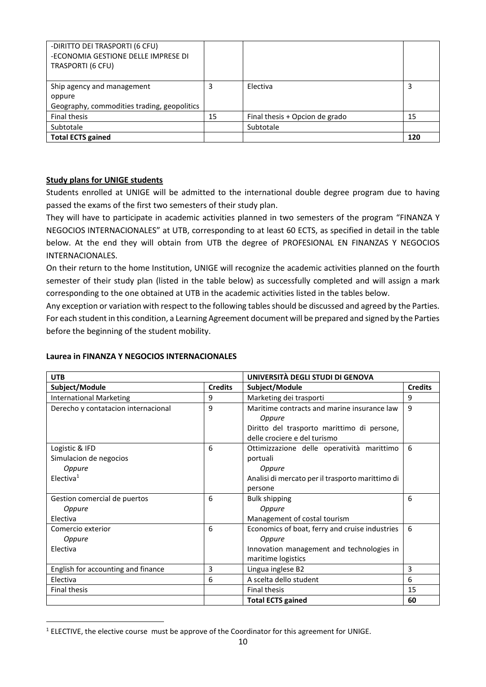| -DIRITTO DEI TRASPORTI (6 CFU)<br>-ECONOMIA GESTIONE DELLE IMPRESE DI<br>TRASPORTI (6 CFU) |    |                                |     |
|--------------------------------------------------------------------------------------------|----|--------------------------------|-----|
| Ship agency and management                                                                 |    | Electiva                       |     |
| oppure                                                                                     |    |                                |     |
| Geography, commodities trading, geopolitics                                                |    |                                |     |
| Final thesis                                                                               | 15 | Final thesis + Opcion de grado | 15  |
| Subtotale                                                                                  |    | Subtotale                      |     |
| <b>Total ECTS gained</b>                                                                   |    |                                | 120 |

### **Study plans for UNIGE students**

Students enrolled at UNIGE will be admitted to the international double degree program due to having passed the exams of the first two semesters of their study plan.

They will have to participate in academic activities planned in two semesters of the program "FINANZA Y NEGOCIOS INTERNACIONALES" at UTB, corresponding to at least 60 ECTS, as specified in detail in the table below. At the end they will obtain from UTB the degree of PROFESIONAL EN FINANZAS Y NEGOCIOS INTERNACIONALES.

On their return to the home Institution, UNIGE will recognize the academic activities planned on the fourth semester of their study plan (listed in the table below) as successfully completed and will assign a mark corresponding to the one obtained at UTB in the academic activities listed in the tables below.

Any exception or variation with respect to the following tables should be discussed and agreed by the Parties. For each student in this condition, a Learning Agreement document will be prepared and signed by the Parties before the beginning of the student mobility.

#### **Laurea in FINANZA Y NEGOCIOS INTERNACIONALES**

| <b>UTB</b>                          |                | UNIVERSITÀ DEGLI STUDI DI GENOVA                      |                |
|-------------------------------------|----------------|-------------------------------------------------------|----------------|
| Subject/Module                      | <b>Credits</b> | Subject/Module                                        | <b>Credits</b> |
| <b>International Marketing</b>      | 9              | Marketing dei trasporti                               | 9              |
| Derecho y contatacion internacional | 9              | Maritime contracts and marine insurance law<br>Oppure | 9              |
|                                     |                | Diritto del trasporto marittimo di persone,           |                |
|                                     |                | delle crociere e del turismo                          |                |
| Logistic & IFD                      | 6              | Ottimizzazione delle operatività marittimo            | 6              |
| Simulacion de negocios              |                | portuali                                              |                |
| Oppure                              |                | Oppure                                                |                |
| Electiva <sup>1</sup>               |                | Analisi di mercato per il trasporto marittimo di      |                |
|                                     |                | persone                                               |                |
| Gestion comercial de puertos        | 6              | <b>Bulk shipping</b>                                  | 6              |
| Oppure                              |                | Oppure                                                |                |
| Electiva                            |                | Management of costal tourism                          |                |
| Comercio exterior                   | 6              | Economics of boat, ferry and cruise industries        | 6              |
| Oppure                              |                | Oppure                                                |                |
| Electiva                            |                | Innovation management and technologies in             |                |
|                                     |                | maritime logistics                                    |                |
| English for accounting and finance  | 3              | Lingua inglese B2                                     | 3              |
| Electiva                            | 6              | A scelta dello student                                | 6              |
| <b>Final thesis</b>                 |                | <b>Final thesis</b>                                   | 15             |
|                                     |                | <b>Total ECTS gained</b>                              | 60             |

<sup>&</sup>lt;sup>1</sup> ELECTIVE, the elective course must be approve of the Coordinator for this agreement for UNIGE.